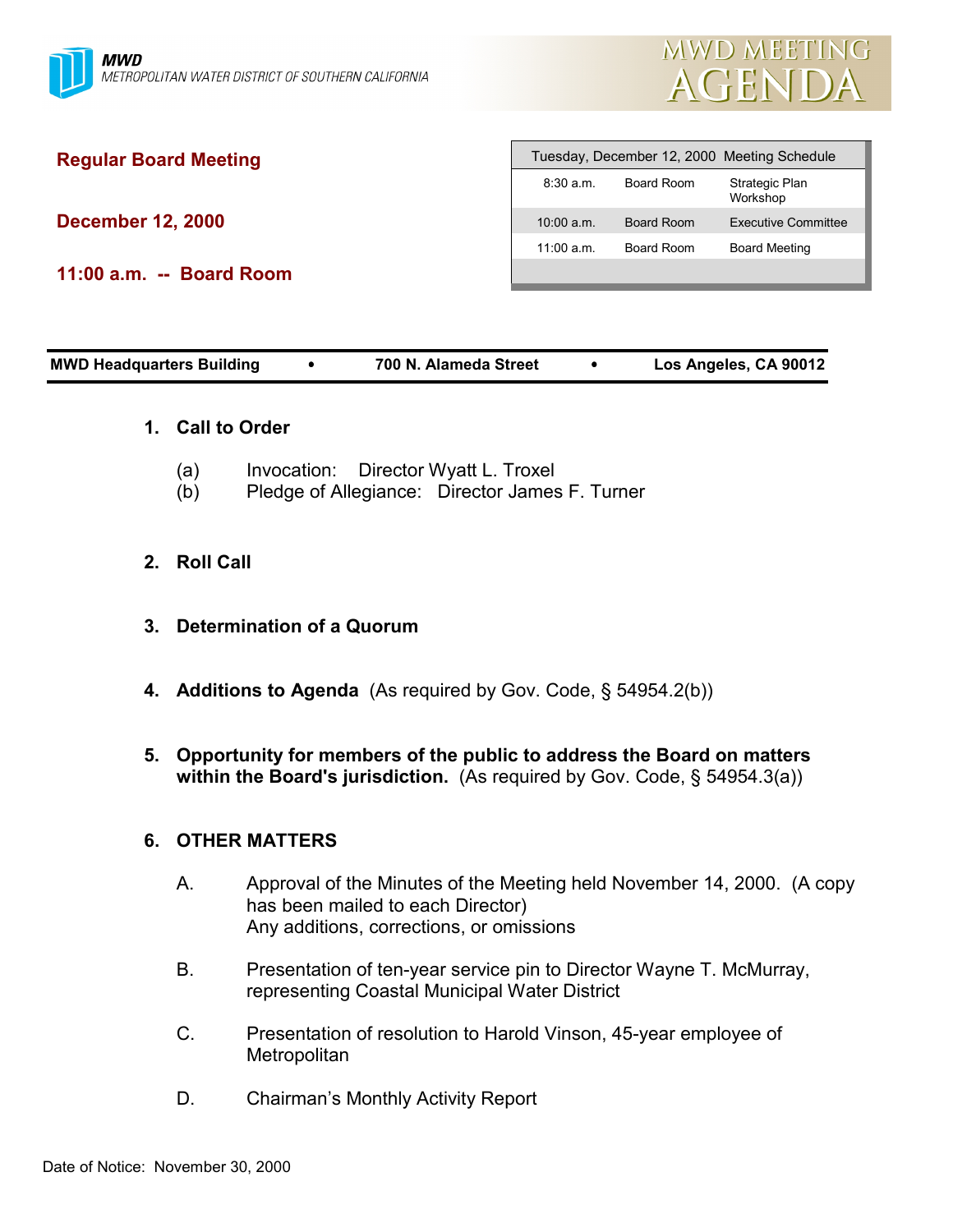

# **Regular Board Meeting**

**December 12, 2000**

**11:00 a.m. -- Board Room**

| Tuesday, December 12, 2000 Meeting Schedule |            |                            |
|---------------------------------------------|------------|----------------------------|
| 8:30a.m.                                    | Board Room | Strategic Plan<br>Workshop |
| 10:00 a.m.                                  | Board Room | Executive Committee        |
| 11:00 a.m.                                  | Board Room | <b>Board Meeting</b>       |
|                                             |            |                            |

### **1. Call to Order**

- (a) Invocation: Director Wyatt L. Troxel
- (b) Pledge of Allegiance: Director James F. Turner
- **2. Roll Call**
- **3. Determination of a Quorum**
- **4. Additions to Agenda** (As required by Gov. Code, § 54954.2(b))
- **5. Opportunity for members of the public to address the Board on matters within the Board's jurisdiction.** (As required by Gov. Code, § 54954.3(a))

### **6. OTHER MATTERS**

- A. Approval of the Minutes of the Meeting held November 14, 2000. (A copy has been mailed to each Director) Any additions, corrections, or omissions
- B. Presentation of ten-year service pin to Director Wayne T. McMurray, representing Coastal Municipal Water District
- C. Presentation of resolution to Harold Vinson, 45-year employee of **Metropolitan**
- D. Chairman's Monthly Activity Report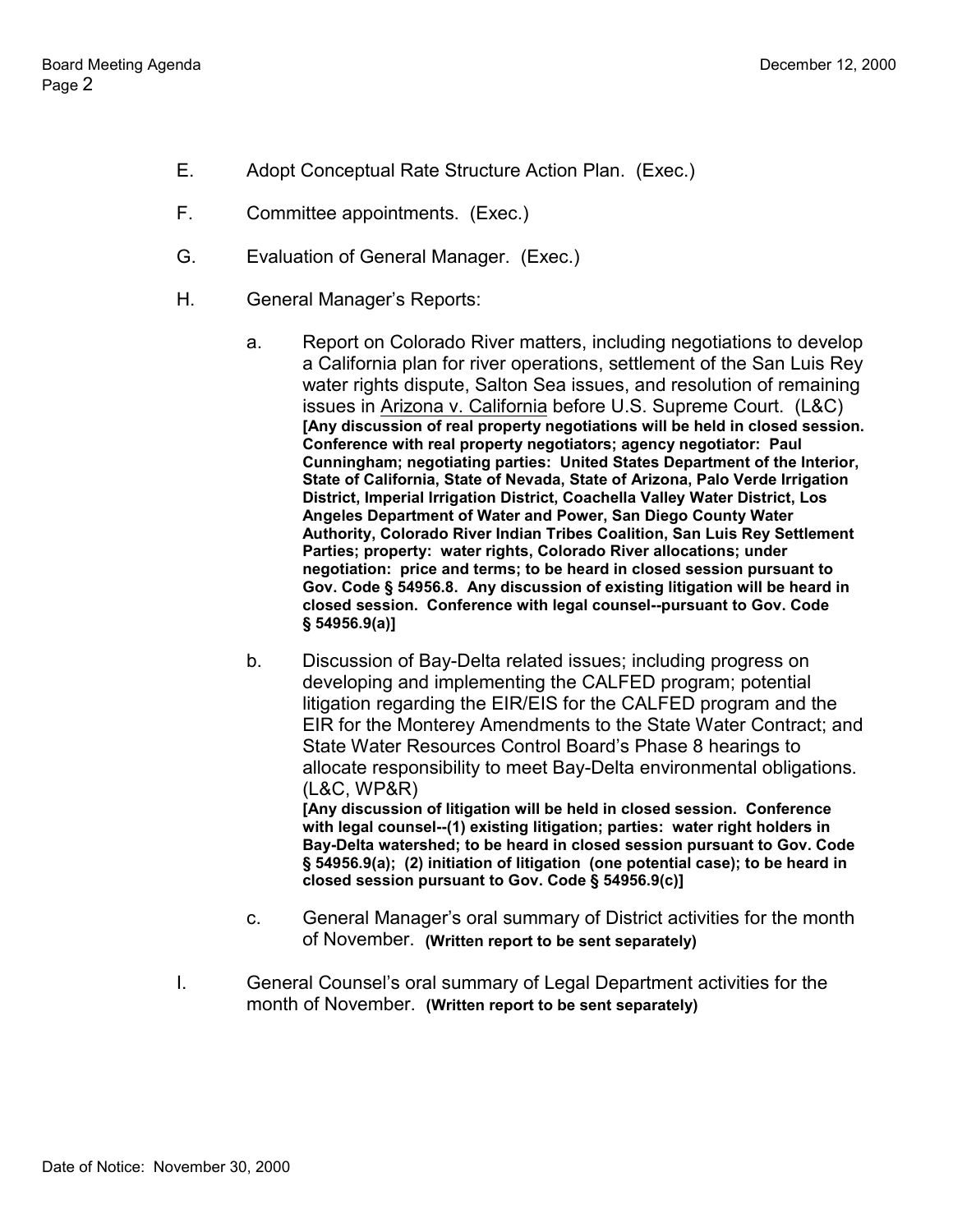- E. Adopt Conceptual Rate Structure Action Plan. (Exec.)
- F. Committee appointments. (Exec.)
- G. Evaluation of General Manager. (Exec.)
- H. General Manager's Reports:
	- a. Report on Colorado River matters, including negotiations to develop a California plan for river operations, settlement of the San Luis Rey water rights dispute, Salton Sea issues, and resolution of remaining issues in Arizona v. California before U.S. Supreme Court. (L&C) **[Any discussion of real property negotiations will be held in closed session. Conference with real property negotiators; agency negotiator: Paul Cunningham; negotiating parties: United States Department of the Interior, State of California, State of Nevada, State of Arizona, Palo Verde Irrigation District, Imperial Irrigation District, Coachella Valley Water District, Los Angeles Department of Water and Power, San Diego County Water Authority, Colorado River Indian Tribes Coalition, San Luis Rey Settlement Parties; property: water rights, Colorado River allocations; under negotiation: price and terms; to be heard in closed session pursuant to Gov. Code § 54956.8. Any discussion of existing litigation will be heard in closed session. Conference with legal counsel--pursuant to Gov. Code § 54956.9(a)]**
	- b. Discussion of Bay-Delta related issues; including progress on developing and implementing the CALFED program; potential litigation regarding the EIR/EIS for the CALFED program and the EIR for the Monterey Amendments to the State Water Contract; and State Water Resources Control Board's Phase 8 hearings to allocate responsibility to meet Bay-Delta environmental obligations. (L&C, WP&R) **[Any discussion of litigation will be held in closed session. Conference with legal counsel--(1) existing litigation; parties: water right holders in Bay-Delta watershed; to be heard in closed session pursuant to Gov. Code § 54956.9(a); (2) initiation of litigation (one potential case); to be heard in**
	- c. General Manager's oral summary of District activities for the month of November. **(Written report to be sent separately)**
- I. General Counsel's oral summary of Legal Department activities for the month of November. **(Written report to be sent separately)**

**closed session pursuant to Gov. Code § 54956.9(c)]**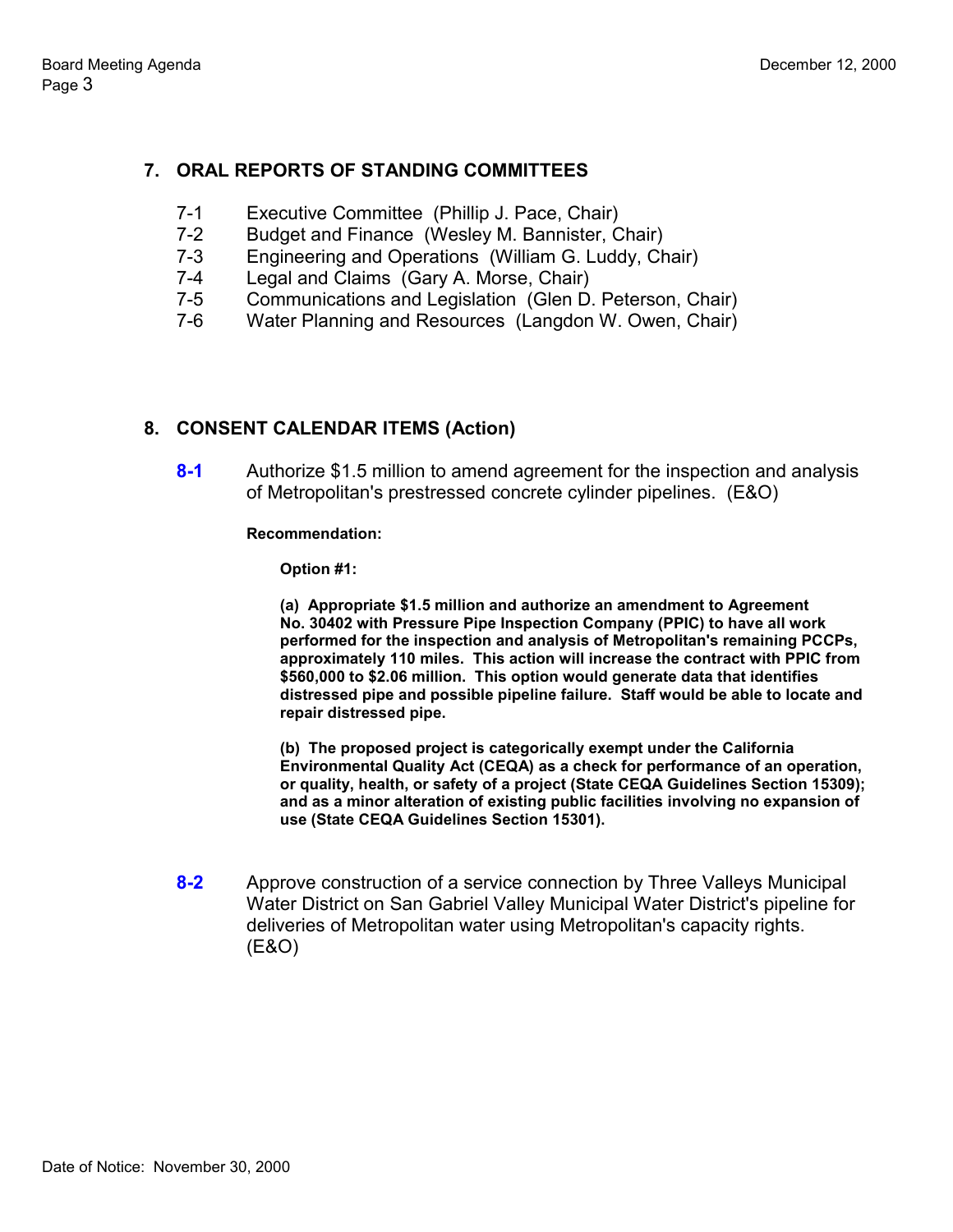# **7. ORAL REPORTS OF STANDING COMMITTEES**

- 7-1 Executive Committee (Phillip J. Pace, Chair)
- 7-2 Budget and Finance (Wesley M. Bannister, Chair)
- 7-3 Engineering and Operations (William G. Luddy, Chair)
- 7-4 Legal and Claims (Gary A. Morse, Chair)
- 7-5 Communications and Legislation (Glen D. Peterson, Chair)
- 7-6 Water Planning and Resources (Langdon W. Owen, Chair)

### **8. CONSENT CALENDAR ITEMS (Action)**

**8-1** Authorize \$1.5 million to amend agreement for the inspection and analysis of Metropolitan's prestressed concrete cylinder pipelines. (E&O)

### **Recommendation:**

**Option #1:**

**(a) Appropriate \$1.5 million and authorize an amendment to Agreement No. 30402 with Pressure Pipe Inspection Company (PPIC) to have all work performed for the inspection and analysis of Metropolitan's remaining PCCPs, approximately 110 miles. This action will increase the contract with PPIC from \$560,000 to \$2.06 million. This option would generate data that identifies distressed pipe and possible pipeline failure. Staff would be able to locate and repair distressed pipe.**

**(b) The proposed project is categorically exempt under the California Environmental Quality Act (CEQA) as a check for performance of an operation, or quality, health, or safety of a project (State CEQA Guidelines Section 15309); and as a minor alteration of existing public facilities involving no expansion of use (State CEQA Guidelines Section 15301).**

**8-2** Approve construction of a service connection by Three Valleys Municipal Water District on San Gabriel Valley Municipal Water District's pipeline for deliveries of Metropolitan water using Metropolitan's capacity rights. (E&O)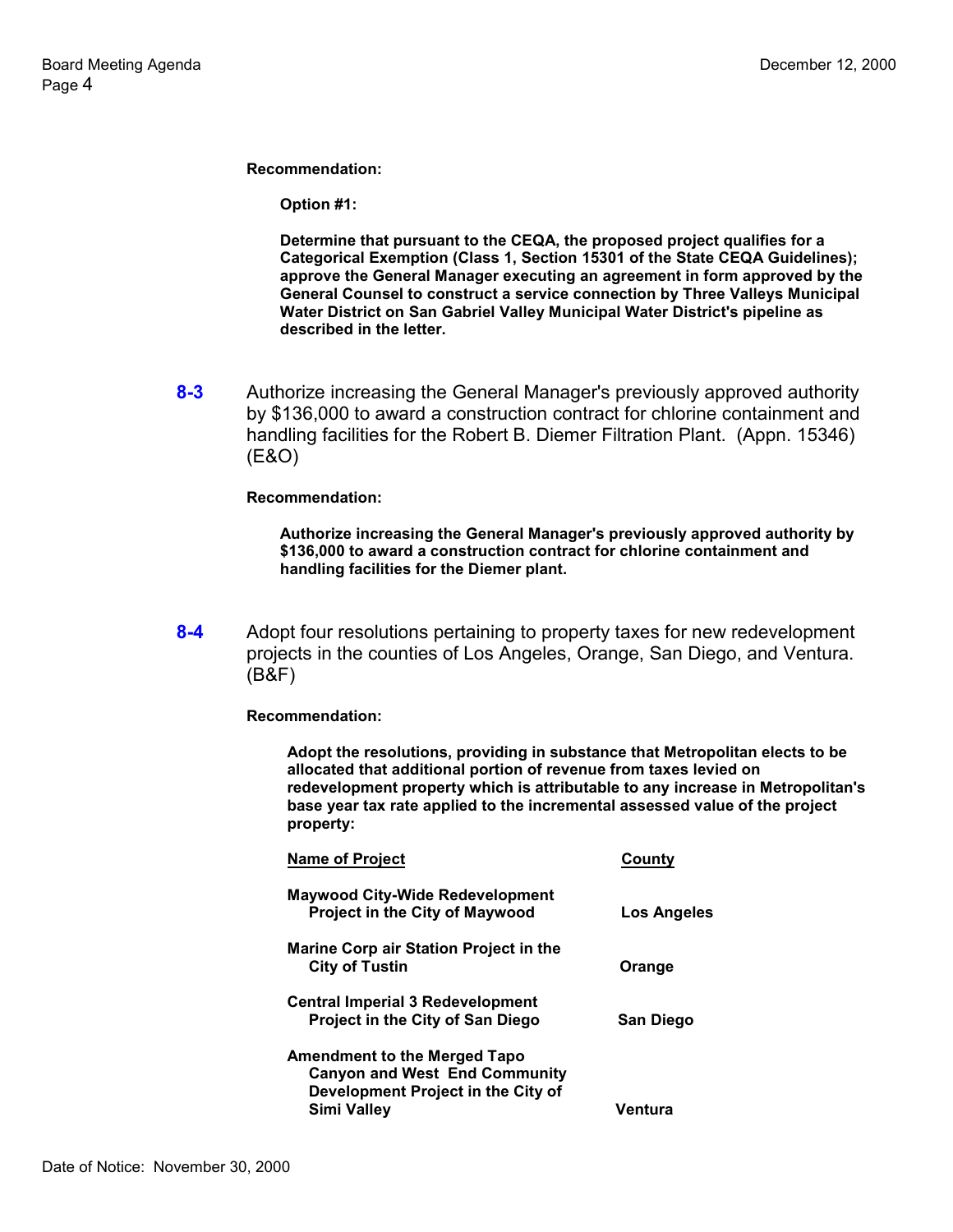**Option #1:**

**Determine that pursuant to the CEQA, the proposed project qualifies for a Categorical Exemption (Class 1, Section 15301 of the State CEQA Guidelines); approve the General Manager executing an agreement in form approved by the General Counsel to construct a service connection by Three Valleys Municipal Water District on San Gabriel Valley Municipal Water District's pipeline as described in the letter.**

**8-3** Authorize increasing the General Manager's previously approved authority by \$136,000 to award a construction contract for chlorine containment and handling facilities for the Robert B. Diemer Filtration Plant. (Appn. 15346) (E&O)

#### **Recommendation:**

**Authorize increasing the General Manager's previously approved authority by \$136,000 to award a construction contract for chlorine containment and handling facilities for the Diemer plant.**

**8-4** Adopt four resolutions pertaining to property taxes for new redevelopment projects in the counties of Los Angeles, Orange, San Diego, and Ventura. (B&F)

#### **Recommendation:**

**Adopt the resolutions, providing in substance that Metropolitan elects to be allocated that additional portion of revenue from taxes levied on redevelopment property which is attributable to any increase in Metropolitan's base year tax rate applied to the incremental assessed value of the project property:**

| <b>Name of Project</b>                  | County           |
|-----------------------------------------|------------------|
| Maywood City-Wide Redevelopment         |                  |
| <b>Project in the City of Maywood</b>   | Los Angeles      |
| Marine Corp air Station Project in the  |                  |
| <b>City of Tustin</b>                   | Orange           |
| <b>Central Imperial 3 Redevelopment</b> |                  |
| Project in the City of San Diego        | <b>San Diego</b> |
| <b>Amendment to the Merged Tapo</b>     |                  |
| <b>Canyon and West End Community</b>    |                  |
| Development Project in the City of      |                  |
| Simi Valley                             | Ventura          |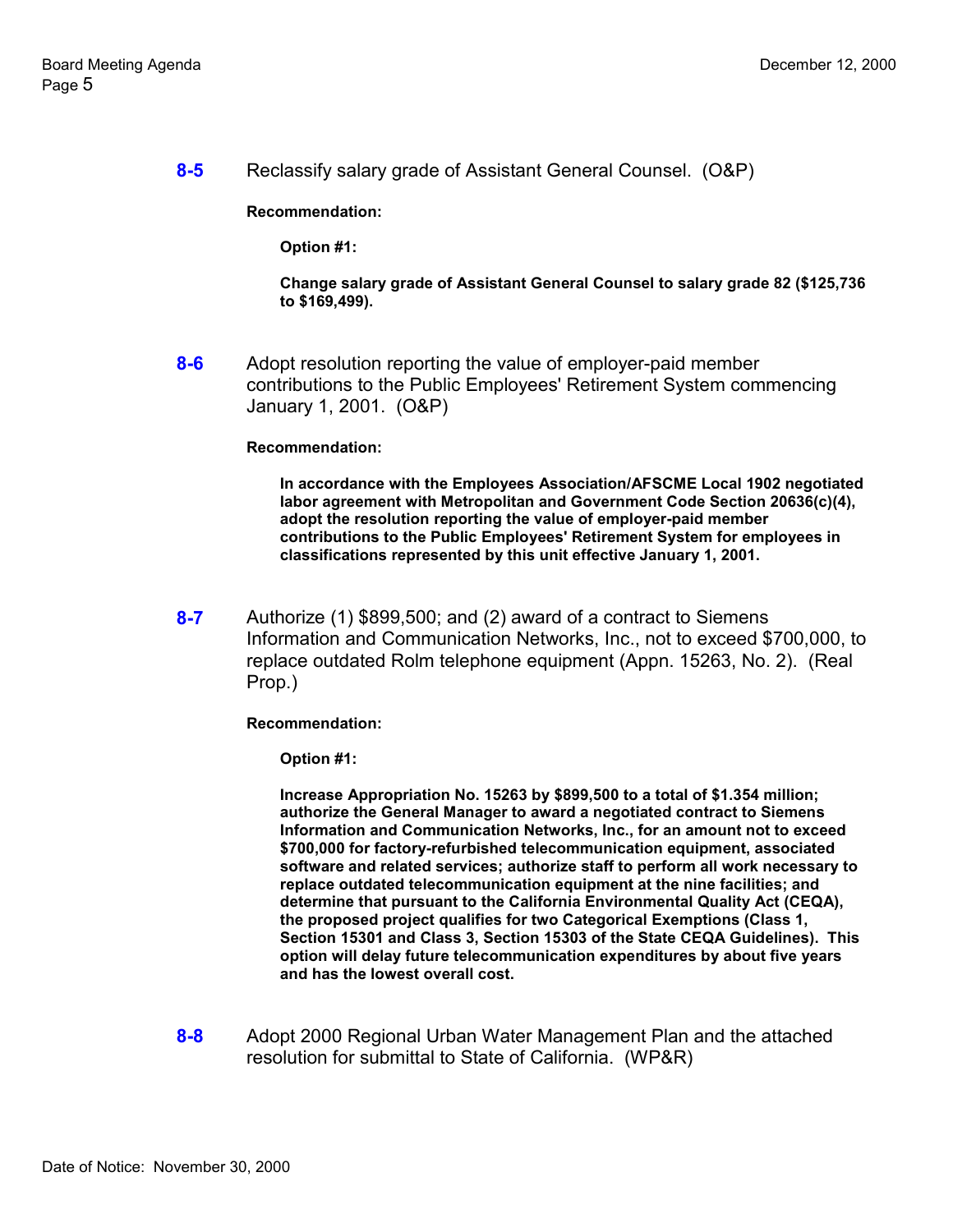**8-5** Reclassify salary grade of Assistant General Counsel. (O&P)

**Recommendation:**

**Option #1:**

**Change salary grade of Assistant General Counsel to salary grade 82 (\$125,736 to \$169,499).**

**8-6** Adopt resolution reporting the value of employer-paid member contributions to the Public Employees' Retirement System commencing January 1, 2001. (O&P)

#### **Recommendation:**

**In accordance with the Employees Association/AFSCME Local 1902 negotiated labor agreement with Metropolitan and Government Code Section 20636(c)(4), adopt the resolution reporting the value of employer-paid member contributions to the Public Employees' Retirement System for employees in classifications represented by this unit effective January 1, 2001.**

**8-7** Authorize (1) \$899,500; and (2) award of a contract to Siemens Information and Communication Networks, Inc., not to exceed \$700,000, to replace outdated Rolm telephone equipment (Appn. 15263, No. 2). (Real Prop.)

**Recommendation:**

**Option #1:**

**Increase Appropriation No. 15263 by \$899,500 to a total of \$1.354 million; authorize the General Manager to award a negotiated contract to Siemens Information and Communication Networks, Inc., for an amount not to exceed \$700,000 for factory-refurbished telecommunication equipment, associated software and related services; authorize staff to perform all work necessary to replace outdated telecommunication equipment at the nine facilities; and determine that pursuant to the California Environmental Quality Act (CEQA), the proposed project qualifies for two Categorical Exemptions (Class 1, Section 15301 and Class 3, Section 15303 of the State CEQA Guidelines). This option will delay future telecommunication expenditures by about five years and has the lowest overall cost.**

**8-8** Adopt 2000 Regional Urban Water Management Plan and the attached resolution for submittal to State of California. (WP&R)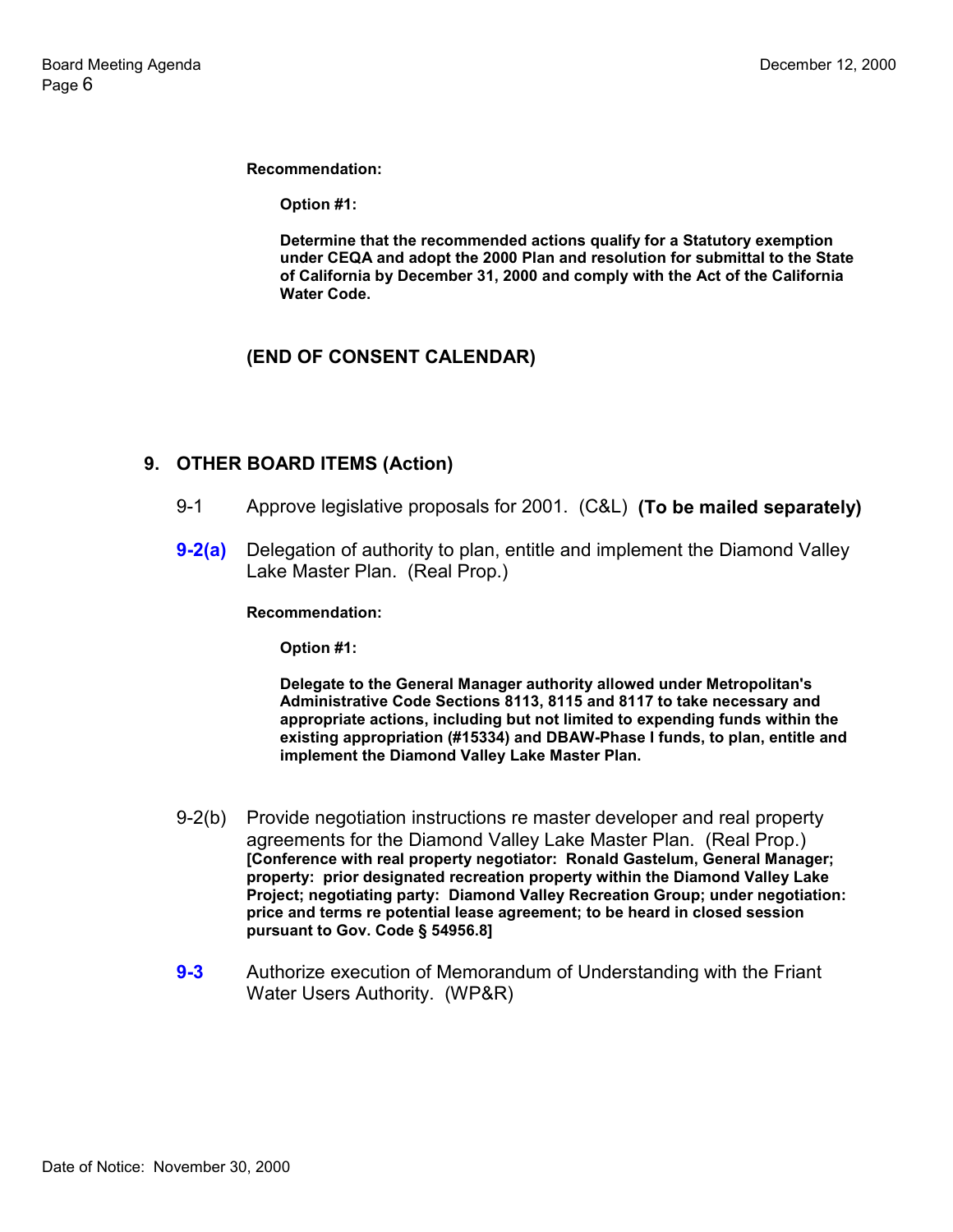**Option #1:**

**Determine that the recommended actions qualify for a Statutory exemption under CEQA and adopt the 2000 Plan and resolution for submittal to the State of California by December 31, 2000 and comply with the Act of the California Water Code.**

# **(END OF CONSENT CALENDAR)**

### **9. OTHER BOARD ITEMS (Action)**

- 9-1 Approve legislative proposals for 2001. (C&L) **(To be mailed separately)**
- **9-2(a)** Delegation of authority to plan, entitle and implement the Diamond Valley Lake Master Plan. (Real Prop.)

**Recommendation:**

**Option #1:**

**Delegate to the General Manager authority allowed under Metropolitan's Administrative Code Sections 8113, 8115 and 8117 to take necessary and appropriate actions, including but not limited to expending funds within the existing appropriation (#15334) and DBAW-Phase I funds, to plan, entitle and implement the Diamond Valley Lake Master Plan.**

- 9-2(b) Provide negotiation instructions re master developer and real property agreements for the Diamond Valley Lake Master Plan. (Real Prop.) **[Conference with real property negotiator: Ronald Gastelum, General Manager; property: prior designated recreation property within the Diamond Valley Lake Project; negotiating party: Diamond Valley Recreation Group; under negotiation: price and terms re potential lease agreement; to be heard in closed session pursuant to Gov. Code § 54956.8]**
- **9-3** Authorize execution of Memorandum of Understanding with the Friant Water Users Authority. (WP&R)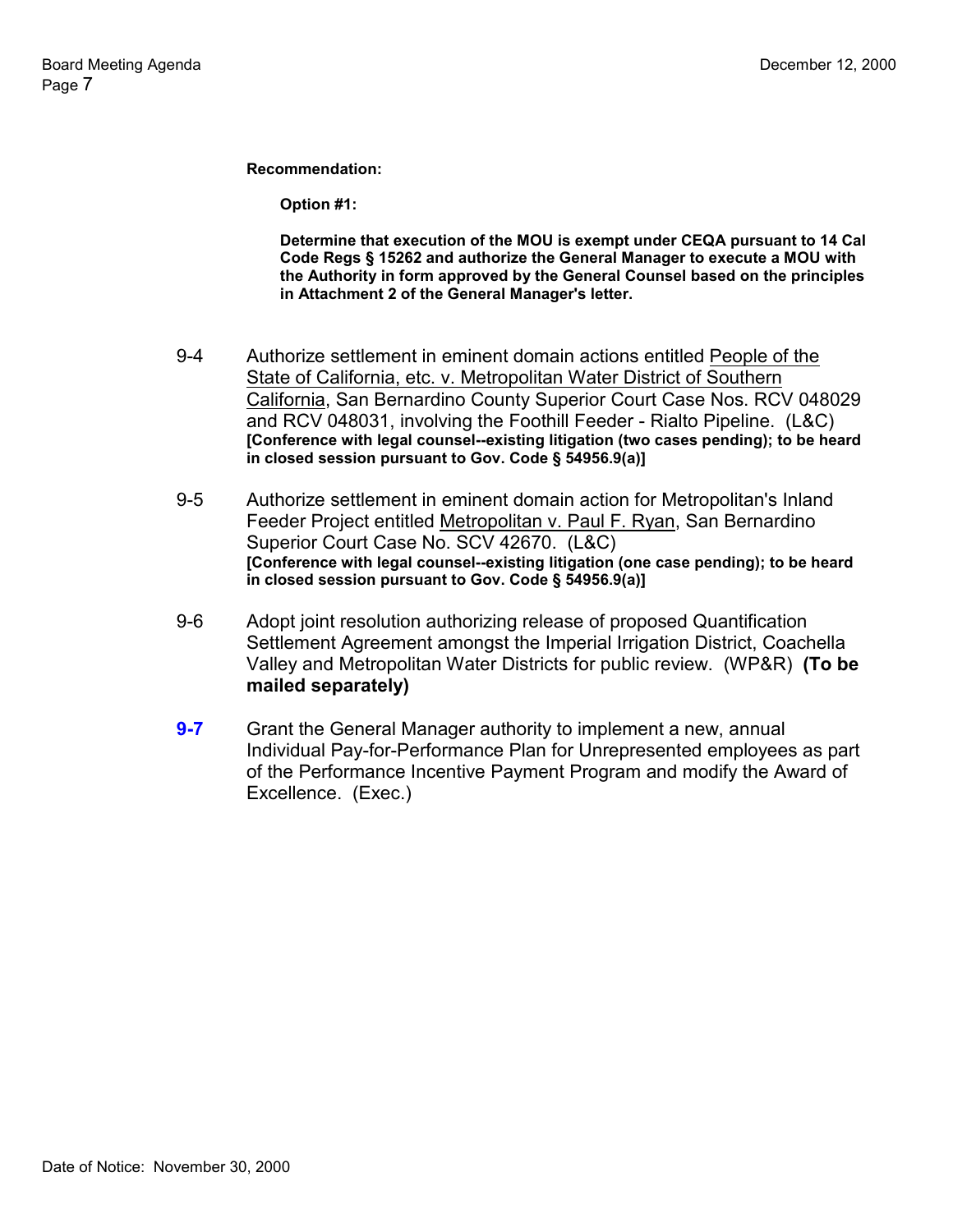**Option #1:**

**Determine that execution of the MOU is exempt under CEQA pursuant to 14 Cal Code Regs § 15262 and authorize the General Manager to execute a MOU with the Authority in form approved by the General Counsel based on the principles in Attachment 2 of the General Manager's letter.**

- 9-4 Authorize settlement in eminent domain actions entitled People of the State of California, etc. v. Metropolitan Water District of Southern California, San Bernardino County Superior Court Case Nos. RCV 048029 and RCV 048031, involving the Foothill Feeder - Rialto Pipeline. (L&C) **[Conference with legal counsel--existing litigation (two cases pending); to be heard in closed session pursuant to Gov. Code § 54956.9(a)]**
- 9-5 Authorize settlement in eminent domain action for Metropolitan's Inland Feeder Project entitled Metropolitan v. Paul F. Ryan, San Bernardino Superior Court Case No. SCV 42670. (L&C) **[Conference with legal counsel--existing litigation (one case pending); to be heard in closed session pursuant to Gov. Code § 54956.9(a)]**
- 9-6 Adopt joint resolution authorizing release of proposed Quantification Settlement Agreement amongst the Imperial Irrigation District, Coachella Valley and Metropolitan Water Districts for public review. (WP&R) **(To be mailed separately)**
- **9-7** Grant the General Manager authority to implement a new, annual Individual Pay-for-Performance Plan for Unrepresented employees as part of the Performance Incentive Payment Program and modify the Award of Excellence. (Exec.)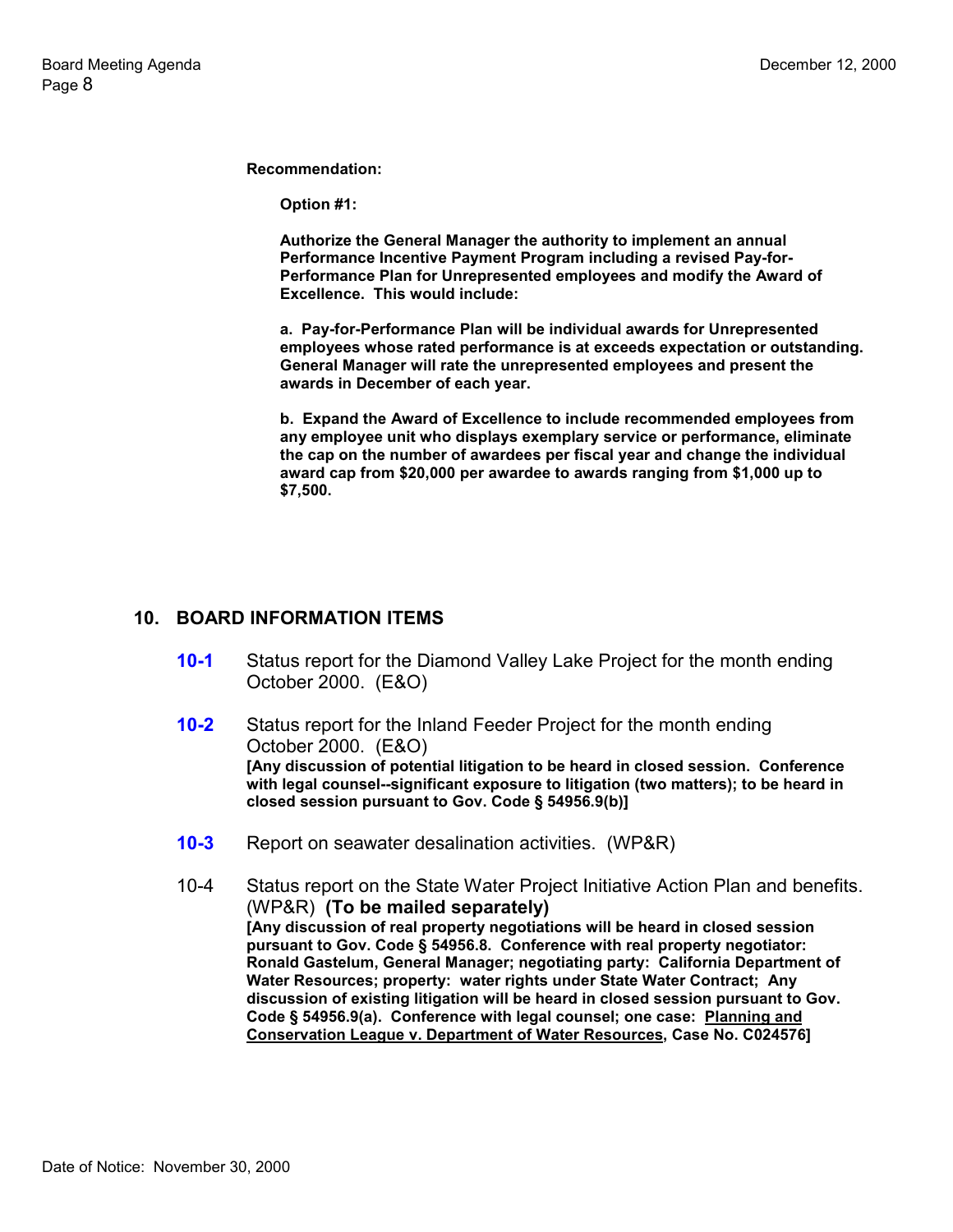**Option #1:**

**Authorize the General Manager the authority to implement an annual Performance Incentive Payment Program including a revised Pay-for-Performance Plan for Unrepresented employees and modify the Award of Excellence. This would include:**

**a. Pay-for-Performance Plan will be individual awards for Unrepresented employees whose rated performance is at exceeds expectation or outstanding. General Manager will rate the unrepresented employees and present the awards in December of each year.**

**b. Expand the Award of Excellence to include recommended employees from any employee unit who displays exemplary service or performance, eliminate the cap on the number of awardees per fiscal year and change the individual award cap from \$20,000 per awardee to awards ranging from \$1,000 up to \$7,500.**

### **10. BOARD INFORMATION ITEMS**

- **10-1** Status report for the Diamond Valley Lake Project for the month ending October 2000. (E&O)
- **10-2** Status report for the Inland Feeder Project for the month ending October 2000. (E&O) **[Any discussion of potential litigation to be heard in closed session. Conference with legal counsel--significant exposure to litigation (two matters); to be heard in closed session pursuant to Gov. Code § 54956.9(b)]**
- **10-3** Report on seawater desalination activities. (WP&R)
- 10-4 Status report on the State Water Project Initiative Action Plan and benefits. (WP&R) **(To be mailed separately) [Any discussion of real property negotiations will be heard in closed session pursuant to Gov. Code § 54956.8. Conference with real property negotiator: Ronald Gastelum, General Manager; negotiating party: California Department of Water Resources; property: water rights under State Water Contract; Any discussion of existing litigation will be heard in closed session pursuant to Gov. Code § 54956.9(a). Conference with legal counsel; one case: Planning and Conservation League v. Department of Water Resources, Case No. C024576]**